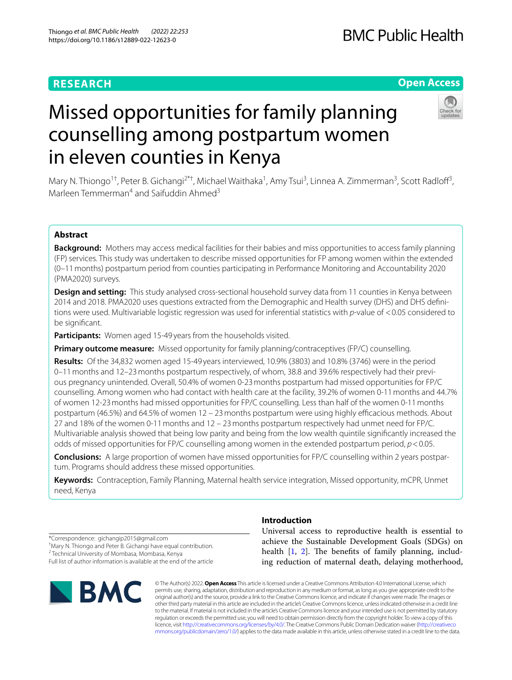# **RESEARCH**

# **Open Access**

# Missed opportunities for family planning counselling among postpartum women in eleven counties in Kenya

Mary N. Thiongo<sup>1†</sup>, Peter B. Gichangi<sup>2\*†</sup>, Michael Waithaka<sup>1</sup>, Amy Tsui<sup>3</sup>, Linnea A. Zimmerman<sup>3</sup>, Scott Radloff<sup>3</sup>, Marleen Temmerman<sup>4</sup> and Saifuddin Ahmed<sup>3</sup>

# **Abstract**

**Background:** Mothers may access medical facilities for their babies and miss opportunities to access family planning (FP) services. This study was undertaken to describe missed opportunities for FP among women within the extended (0–11months) postpartum period from counties participating in Performance Monitoring and Accountability 2020 (PMA2020) surveys.

**Design and setting:** This study analysed cross-sectional household survey data from 11 counties in Kenya between 2014 and 2018. PMA2020 uses questions extracted from the Demographic and Health survey (DHS) and DHS defnitions were used. Multivariable logistic regression was used for inferential statistics with *p*-value of <0.05 considered to be signifcant.

**Participants:** Women aged 15-49 years from the households visited.

**Primary outcome measure:** Missed opportunity for family planning/contraceptives (FP/C) counselling.

**Results:** Of the 34,832 women aged 15-49 years interviewed, 10.9% (3803) and 10.8% (3746) were in the period 0–11months and 12–23months postpartum respectively, of whom, 38.8 and 39.6% respectively had their previous pregnancy unintended. Overall, 50.4% of women 0-23months postpartum had missed opportunities for FP/C counselling. Among women who had contact with health care at the facility, 39.2% of women 0-11months and 44.7% of women 12-23months had missed opportunities for FP/C counselling. Less than half of the women 0-11months postpartum (46.5%) and 64.5% of women 12 – 23 months postpartum were using highly efficacious methods. About 27 and 18% of the women 0-11months and 12 – 23months postpartum respectively had unmet need for FP/C. Multivariable analysis showed that being low parity and being from the low wealth quintile signifcantly increased the odds of missed opportunities for FP/C counselling among women in the extended postpartum period, *p*<0.05.

**Conclusions:** A large proportion of women have missed opportunities for FP/C counselling within 2 years postpartum. Programs should address these missed opportunities.

**Keywords:** Contraception, Family Planning, Maternal health service integration, Missed opportunity, mCPR, Unmet need, Kenya

\*Correspondence: gichangip2015@gmail.com † Mary N. Thiongo and Peter B. Gichangi have equal contribution.

<sup>2</sup> Technical University of Mombasa, Mombasa, Kenya Full list of author information is available at the end of the article



# **Introduction**

Universal access to reproductive health is essential to achieve the Sustainable Development Goals (SDGs) on health  $[1, 2]$  $[1, 2]$  $[1, 2]$  $[1, 2]$ . The benefits of family planning, including reduction of maternal death, delaying motherhood,

© The Author(s) 2022. **Open Access** This article is licensed under a Creative Commons Attribution 4.0 International License, which permits use, sharing, adaptation, distribution and reproduction in any medium or format, as long as you give appropriate credit to the original author(s) and the source, provide a link to the Creative Commons licence, and indicate if changes were made. The images or other third party material in this article are included in the article's Creative Commons licence, unless indicated otherwise in a credit line to the material. If material is not included in the article's Creative Commons licence and your intended use is not permitted by statutory regulation or exceeds the permitted use, you will need to obtain permission directly from the copyright holder. To view a copy of this licence, visit [http://creativecommons.org/licenses/by/4.0/.](http://creativecommons.org/licenses/by/4.0/) The Creative Commons Public Domain Dedication waiver ([http://creativeco](http://creativecommons.org/publicdomain/zero/1.0/) [mmons.org/publicdomain/zero/1.0/](http://creativecommons.org/publicdomain/zero/1.0/)) applies to the data made available in this article, unless otherwise stated in a credit line to the data.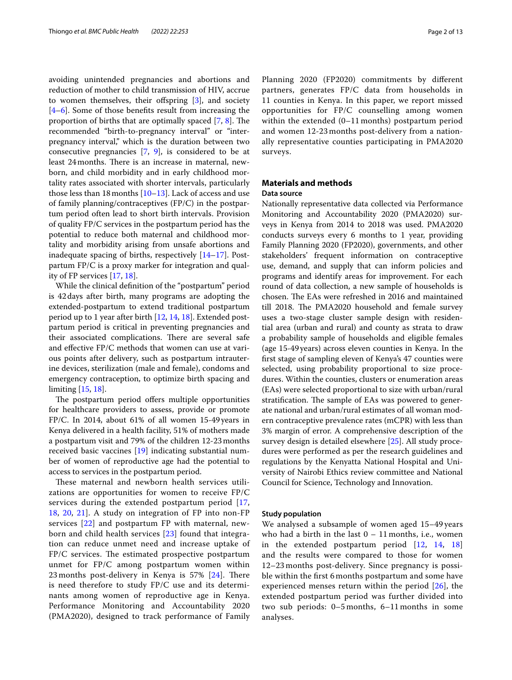avoiding unintended pregnancies and abortions and reduction of mother to child transmission of HIV, accrue to women themselves, their offspring  $[3]$  $[3]$ , and society [[4–](#page-11-3)[6\]](#page-11-4). Some of those benefts result from increasing the proportion of births that are optimally spaced  $[7, 8]$  $[7, 8]$  $[7, 8]$ . The recommended "birth-to-pregnancy interval" or "interpregnancy interval," which is the duration between two consecutive pregnancies [[7,](#page-11-5) [9\]](#page-11-7), is considered to be at least 24 months. There is an increase in maternal, newborn, and child morbidity and in early childhood mortality rates associated with shorter intervals, particularly those less than 18 months  $[10-13]$  $[10-13]$ . Lack of access and use of family planning/contraceptives (FP/C) in the postpartum period often lead to short birth intervals. Provision of quality FP/C services in the postpartum period has the potential to reduce both maternal and childhood mortality and morbidity arising from unsafe abortions and inadequate spacing of births, respectively [\[14](#page-11-10)[–17\]](#page-11-11). Postpartum FP/C is a proxy marker for integration and quality of FP services [[17,](#page-11-11) [18\]](#page-11-12).

While the clinical defnition of the "postpartum" period is 42days after birth, many programs are adopting the extended-postpartum to extend traditional postpartum period up to 1 year after birth [[12](#page-11-13), [14,](#page-11-10) [18](#page-11-12)]. Extended postpartum period is critical in preventing pregnancies and their associated complications. There are several safe and effective FP/C methods that women can use at various points after delivery, such as postpartum intrauterine devices, sterilization (male and female), condoms and emergency contraception, to optimize birth spacing and limiting [\[15](#page-11-14), [18](#page-11-12)].

The postpartum period offers multiple opportunities for healthcare providers to assess, provide or promote FP/C. In 2014, about 61% of all women 15-49years in Kenya delivered in a health facility, 51% of mothers made a postpartum visit and 79% of the children 12-23months received basic vaccines [\[19](#page-11-15)] indicating substantial number of women of reproductive age had the potential to access to services in the postpartum period.

These maternal and newborn health services utilizations are opportunities for women to receive FP/C services during the extended postpartum period [\[17](#page-11-11), [18,](#page-11-12) [20](#page-11-16), [21](#page-11-17)]. A study on integration of FP into non-FP services [\[22\]](#page-12-0) and postpartum FP with maternal, newborn and child health services [[23\]](#page-12-1) found that integration can reduce unmet need and increase uptake of  $FP/C$  services. The estimated prospective postpartum unmet for FP/C among postpartum women within 23 months post-delivery in Kenya is  $57\%$  [[24](#page-12-2)]. There is need therefore to study FP/C use and its determinants among women of reproductive age in Kenya. Performance Monitoring and Accountability 2020 (PMA2020), designed to track performance of Family Planning 2020 (FP2020) commitments by diferent partners, generates FP/C data from households in 11 counties in Kenya. In this paper, we report missed opportunities for FP/C counselling among women within the extended (0–11 months) postpartum period and women 12-23 months post-delivery from a nationally representative counties participating in PMA2020 surveys.

# **Materials and methods Data source**

Nationally representative data collected via Performance Monitoring and Accountability 2020 (PMA2020) surveys in Kenya from 2014 to 2018 was used. PMA2020 conducts surveys every 6 months to 1 year, providing Family Planning 2020 (FP2020), governments, and other stakeholders' frequent information on contraceptive use, demand, and supply that can inform policies and programs and identify areas for improvement. For each round of data collection, a new sample of households is chosen. The EAs were refreshed in 2016 and maintained till 2018. The PMA2020 household and female survey uses a two-stage cluster sample design with residential area (urban and rural) and county as strata to draw a probability sample of households and eligible females (age 15-49years) across eleven counties in Kenya. In the frst stage of sampling eleven of Kenya's 47 counties were selected, using probability proportional to size procedures. Within the counties, clusters or enumeration areas (EAs) were selected proportional to size with urban/rural stratification. The sample of EAs was powered to generate national and urban/rural estimates of all woman modern contraceptive prevalence rates (mCPR) with less than 3% margin of error. A comprehensive description of the survey design is detailed elsewhere [\[25](#page-12-3)]. All study procedures were performed as per the research guidelines and regulations by the Kenyatta National Hospital and University of Nairobi Ethics review committee and National Council for Science, Technology and Innovation.

#### **Study population**

We analysed a subsample of women aged 15–49 years who had a birth in the last  $0 - 11$  months, i.e., women in the extended postpartum period [[12,](#page-11-13) [14](#page-11-10), [18](#page-11-12)] and the results were compared to those for women 12–23 months post-delivery. Since pregnancy is possible within the frst 6 months postpartum and some have experienced menses return within the period [[26](#page-12-4)], the extended postpartum period was further divided into two sub periods: 0–5 months, 6–11 months in some analyses.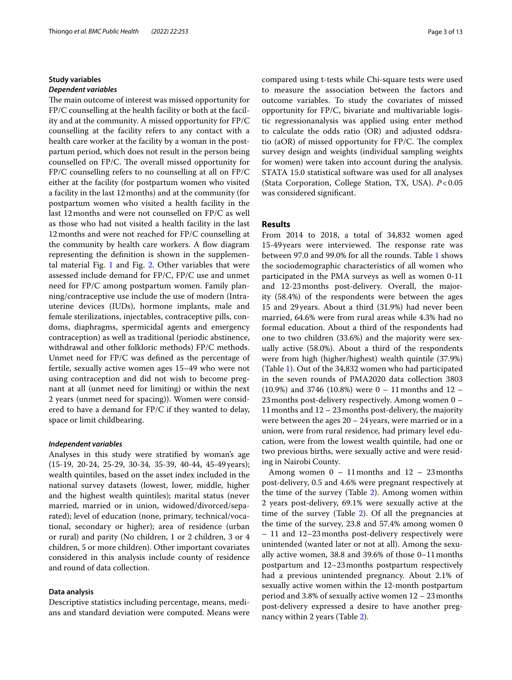# **Study variables** *Dependent variables*

The main outcome of interest was missed opportunity for FP/C counselling at the health facility or both at the facility and at the community. A missed opportunity for FP/C counselling at the facility refers to any contact with a health care worker at the facility by a woman in the postpartum period, which does not result in the person being counselled on FP/C. The overall missed opportunity for FP/C counselling refers to no counselling at all on FP/C either at the facility (for postpartum women who visited a facility in the last 12months) and at the community (for postpartum women who visited a health facility in the last 12months and were not counselled on FP/C as well as those who had not visited a health facility in the last 12months and were not reached for FP/C counselling at the community by health care workers. A flow diagram representing the defnition is shown in the supplemental material Fig. [1](#page-11-18) and Fig. [2](#page-11-18). Other variables that were assessed include demand for FP/C, FP/C use and unmet need for FP/C among postpartum women. Family planning/contraceptive use include the use of modern (Intrauterine devices (IUDs), hormone implants, male and female sterilizations, injectables, contraceptive pills, condoms, diaphragms, spermicidal agents and emergency contraception) as well as traditional (periodic abstinence, withdrawal and other folkloric methods) FP/C methods. Unmet need for FP/C was defned as the percentage of fertile, sexually active women ages 15–49 who were not using contraception and did not wish to become pregnant at all (unmet need for limiting) or within the next 2 years (unmet need for spacing)). Women were considered to have a demand for FP/C if they wanted to delay, space or limit childbearing.

# *Independent variables*

Analyses in this study were stratifed by woman's age (15-19, 20-24, 25-29, 30-34, 35-39, 40-44, 45-49 years); wealth quintiles, based on the asset index included in the national survey datasets (lowest, lower, middle, higher and the highest wealth quintiles); marital status (never married, married or in union, widowed/divorced/separated); level of education (none, primary, technical/vocational, secondary or higher); area of residence (urban or rural) and parity (No children, 1 or 2 children, 3 or 4 children, 5 or more children). Other important covariates considered in this analysis include county of residence and round of data collection.

# **Data analysis**

Descriptive statistics including percentage, means, medians and standard deviation were computed. Means were compared using t-tests while Chi-square tests were used to measure the association between the factors and outcome variables. To study the covariates of missed opportunity for FP/C, bivariate and multivariable logistic regressionanalysis was applied using enter method to calculate the odds ratio (OR) and adjusted oddsratio (aOR) of missed opportunity for  $FP/C$ . The complex survey design and weights (individual sampling weights for women) were taken into account during the analysis. STATA 15.0 statistical software was used for all analyses (Stata Corporation, College Station, TX, USA). *P*<0.05 was considered signifcant.

# **Results**

From 2014 to 2018, a total of 34,832 women aged 15-49 years were interviewed. The response rate was between 97.0 and 99.0% for all the rounds. Table [1](#page-3-0) shows the sociodemographic characteristics of all women who participated in the PMA surveys as well as women 0-11 and 12-23months post-delivery. Overall, the majority (58.4%) of the respondents were between the ages 15 and 29years. About a third (31.9%) had never been married, 64.6% were from rural areas while 4.3% had no formal education. About a third of the respondents had one to two children (33.6%) and the majority were sexually active (58.0%). About a third of the respondents were from high (higher/highest) wealth quintile (37.9%) (Table [1\)](#page-3-0). Out of the 34,832 women who had participated in the seven rounds of PMA2020 data collection 3803  $(10.9\%)$  and 3746  $(10.8\%)$  were  $0 - 11$  months and  $12 - 11$ 23months post-delivery respectively. Among women 0 – 11months and 12 – 23months post-delivery, the majority were between the ages 20 – 24 years, were married or in a union, were from rural residence, had primary level education, were from the lowest wealth quintile, had one or two previous births, were sexually active and were residing in Nairobi County.

Among women  $0 - 11$  months and  $12 - 23$  months post-delivery, 0.5 and 4.6% were pregnant respectively at the time of the survey (Table [2\)](#page-4-0). Among women within 2 years post-delivery, 69.1% were sexually active at the time of the survey (Table [2](#page-4-0)). Of all the pregnancies at the time of the survey, 23.8 and 57.4% among women 0 – 11 and 12–23months post-delivery respectively were unintended (wanted later or not at all). Among the sexually active women, 38.8 and 39.6% of those 0–11months postpartum and 12–23months postpartum respectively had a previous unintended pregnancy. About 2.1% of sexually active women within the 12-month postpartum period and 3.8% of sexually active women  $12 - 23$  months post-delivery expressed a desire to have another pregnancy within 2 years (Table [2\)](#page-4-0).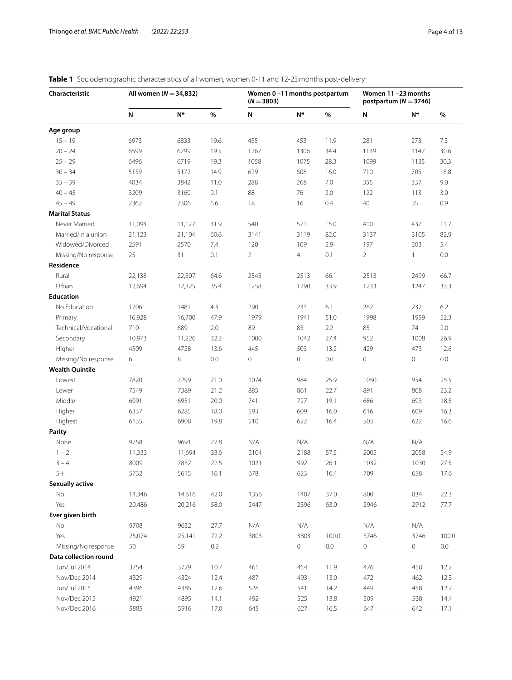| Characteristic         |           | All women ( $N = 34,832$ ) |         |                | Women 0-11 months postpartum<br>$(N = 3803)$ |       |                | Women 11-23 months<br>postpartum ( $N = 3746$ ) |         |  |
|------------------------|-----------|----------------------------|---------|----------------|----------------------------------------------|-------|----------------|-------------------------------------------------|---------|--|
|                        | ${\sf N}$ | $N^*$                      | %       | N              | $N^*$                                        | $\%$  | N              | N*                                              | %       |  |
| Age group              |           |                            |         |                |                                              |       |                |                                                 |         |  |
| $15 - 19$              | 6973      | 6833                       | 19.6    | 455            | 453                                          | 11.9  | 281            | 273                                             | 7.3     |  |
| $20 - 24$              | 6599      | 6799                       | 19.5    | 1267           | 1306                                         | 34.4  | 1139           | 1147                                            | 30.6    |  |
| $25 - 29$              | 6496      | 6719                       | 19.3    | 1058           | 1075                                         | 28.3  | 1099           | 1135                                            | 30.3    |  |
| $30 - 34$              | 5159      | 5172                       | 14.9    | 629            | 608                                          | 16.0  | 710            | 705                                             | 18.8    |  |
| $35 - 39$              | 4034      | 3842                       | 11.0    | 288            | 268                                          | 7.0   | 355            | 337                                             | 9.0     |  |
| $40 - 45$              | 3209      | 3160                       | 9.1     | 88             | 76                                           | 2.0   | 122            | 113                                             | 3.0     |  |
| $45 - 49$              | 2362      | 2306                       | 6.6     | 18             | 16                                           | 0.4   | 40             | 35                                              | 0.9     |  |
| <b>Marital Status</b>  |           |                            |         |                |                                              |       |                |                                                 |         |  |
| Never Married          | 11,093    | 11,127                     | 31.9    | 540            | 571                                          | 15.0  | 410            | 437                                             | 11.7    |  |
| Married/In a union     | 21,123    | 21,104                     | 60.6    | 3141           | 3119                                         | 82.0  | 3137           | 3105                                            | 82.9    |  |
| Widowed/Divorced       | 2591      | 2570                       | 7.4     | 120            | 109                                          | 2.9   | 197            | 203                                             | 5.4     |  |
| Missing/No response    | 25        | 31                         | 0.1     | $\overline{2}$ | $\overline{4}$                               | 0.1   | $\overline{2}$ | $\mathbf{1}$                                    | 0.0     |  |
| Residence              |           |                            |         |                |                                              |       |                |                                                 |         |  |
| Rural                  | 22,138    | 22,507                     | 64.6    | 2545           | 2513                                         | 66.1  | 2513           | 2499                                            | 66.7    |  |
| Urban                  | 12,694    | 12,325                     | 35.4    | 1258           | 1290                                         | 33.9  | 1233           | 1247                                            | 33.3    |  |
| <b>Education</b>       |           |                            |         |                |                                              |       |                |                                                 |         |  |
| No Education           | 1706      | 1481                       | 4.3     | 290            | 233                                          | 6.1   | 282            | 232                                             | 6.2     |  |
| Primary                | 16,928    | 16,700                     | 47.9    | 1979           | 1941                                         | 51.0  | 1998           | 1959                                            | 52.3    |  |
| Technical/Vocational   | 710       | 689                        | 2.0     | 89             | 85                                           | 2.2   | 85             | 74                                              | 2.0     |  |
| Secondary              | 10,973    | 11,226                     | 32.2    | 1000           | 1042                                         | 27.4  | 952            | 1008                                            | 26.9    |  |
| Higher                 | 4509      | 4728                       | 13.6    | 445            | 503                                          | 13.2  | 429            | 473                                             | 12.6    |  |
| Missing/No response    | 6         | 8                          | $0.0\,$ | 0              | 0                                            | 0.0   | $\mathbf 0$    | $\mathbf 0$                                     | 0.0     |  |
| <b>Wealth Quintile</b> |           |                            |         |                |                                              |       |                |                                                 |         |  |
| Lowest                 | 7820      | 7299                       | 21.0    | 1074           | 984                                          | 25.9  | 1050           | 954                                             | 25.5    |  |
| Lower                  | 7549      | 7389                       | 21.2    | 885            | 861                                          | 22.7  | 891            | 868                                             | 23.2    |  |
| Middle                 | 6991      | 6951                       | 20.0    | 741            | 727                                          | 19.1  | 686            | 693                                             | 18.5    |  |
| Higher                 | 6337      | 6285                       | 18.0    | 593            | 609                                          | 16.0  | 616            | 609                                             | 16.3    |  |
| Highest                | 6135      | 6908                       | 19.8    | 510            | 622                                          | 16.4  | 503            | 622                                             | 16.6    |  |
| Parity                 |           |                            |         |                |                                              |       |                |                                                 |         |  |
| None                   | 9758      | 9691                       | 27.8    | N/A            | N/A                                          |       | N/A            | N/A                                             |         |  |
| $1 - 2$                | 11,333    | 11,694                     | 33.6    | 2104           | 2188                                         | 57.5  | 2005           | 2058                                            | 54.9    |  |
| $3 - 4$                | 8009      | 7832                       | 22.5    | 1021           | 992                                          | 26.1  | 1032           | 1030                                            | 27.5    |  |
| $5+$                   | 5732      | 5615                       | 16.1    | 678            | 623                                          | 16.4  | 709            | 658                                             | 17.6    |  |
| <b>Sexually active</b> |           |                            |         |                |                                              |       |                |                                                 |         |  |
| No                     | 14,346    | 14,616                     | 42.0    | 1356           | 1407                                         | 37.0  | 800            | 834                                             | 22.3    |  |
| Yes                    | 20,486    | 20,216                     | 58.0    | 2447           | 2396                                         | 63.0  | 2946           | 2912                                            | 77.7    |  |
| Ever given birth       |           |                            |         |                |                                              |       |                |                                                 |         |  |
| No                     | 9708      | 9632                       | 27.7    | N/A            | N/A                                          |       | N/A            | N/A                                             |         |  |
| Yes                    | 25,074    | 25,141                     | 72.2    | 3803           | 3803                                         | 100.0 | 3746           | 3746                                            | 100.0   |  |
| Missing/No response    | 50        | 59                         | 0.2     |                | 0                                            | 0.0   | 0              | 0                                               | $0.0\,$ |  |
| Data collection round  |           |                            |         |                |                                              |       |                |                                                 |         |  |
| Jun/Jul 2014           | 3754      | 3729                       | 10.7    | 461            | 454                                          | 11.9  | 476            | 458                                             | 12.2    |  |
| Nov/Dec 2014           | 4329      | 4324                       | 12.4    | 487            | 493                                          | 13.0  | 472            | 462                                             | 12.3    |  |
| Jun/Jul 2015           | 4396      | 4385                       | 12.6    | 528            | 541                                          | 14.2  | 449            | 458                                             | 12.2    |  |
| Nov/Dec 2015           | 4921      | 4895                       | 14.1    | 492            | 525                                          | 13.8  | 509            | 538                                             | 14.4    |  |
| Nov/Dec 2016           | 5885      | 5916                       | 17.0    | 645            | 627                                          | 16.5  | 647            | 642                                             | 17.1    |  |

# <span id="page-3-0"></span>**Table 1** Sociodemographic characteristics of all women, women 0-11 and 12-23 months post-delivery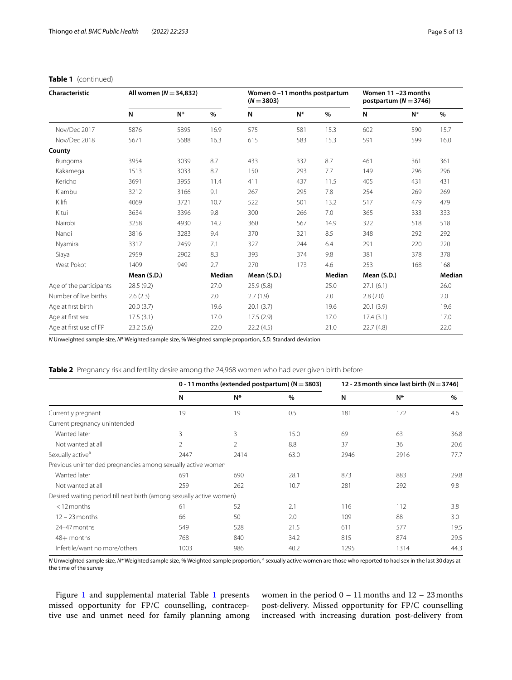|  | <b>Table 1</b> (continued) |
|--|----------------------------|
|--|----------------------------|

| Characteristic          | All women ( $N = 34,832$ ) |       |        | Women 0-11 months postpartum<br>$(N = 3803)$ |       |        | Women 11-23 months<br>postpartum ( $N = 3746$ ) |       |        |
|-------------------------|----------------------------|-------|--------|----------------------------------------------|-------|--------|-------------------------------------------------|-------|--------|
|                         | N                          | $N^*$ | $\%$   | N                                            | $N^*$ | %      | N                                               | $N^*$ | $\%$   |
| Nov/Dec 2017            | 5876                       | 5895  | 16.9   | 575                                          | 581   | 15.3   | 602                                             | 590   | 15.7   |
| Nov/Dec 2018            | 5671                       | 5688  | 16.3   | 615                                          | 583   | 15.3   | 591                                             | 599   | 16.0   |
| County                  |                            |       |        |                                              |       |        |                                                 |       |        |
| Bungoma                 | 3954                       | 3039  | 8.7    | 433                                          | 332   | 8.7    | 461                                             | 361   | 361    |
| Kakamega                | 1513                       | 3033  | 8.7    | 150                                          | 293   | 7.7    | 149                                             | 296   | 296    |
| Kericho                 | 3691                       | 3955  | 11.4   | 411                                          | 437   | 11.5   | 405                                             | 431   | 431    |
| Kiambu                  | 3212                       | 3166  | 9.1    | 267                                          | 295   | 7.8    | 254                                             | 269   | 269    |
| Kilifi                  | 4069                       | 3721  | 10.7   | 522                                          | 501   | 13.2   | 517                                             | 479   | 479    |
| Kitui                   | 3634                       | 3396  | 9.8    | 300                                          | 266   | 7.0    | 365                                             | 333   | 333    |
| Nairobi                 | 3258                       | 4930  | 14.2   | 360                                          | 567   | 14.9   | 322                                             | 518   | 518    |
| Nandi                   | 3816                       | 3283  | 9.4    | 370                                          | 321   | 8.5    | 348                                             | 292   | 292    |
| Nyamira                 | 3317                       | 2459  | 7.1    | 327                                          | 244   | 6.4    | 291                                             | 220   | 220    |
| Siaya                   | 2959                       | 2902  | 8.3    | 393                                          | 374   | 9.8    | 381                                             | 378   | 378    |
| West Pokot              | 1409                       | 949   | 2.7    | 270                                          | 173   | 4.6    | 253                                             | 168   | 168    |
|                         | Mean (S.D.)                |       | Median | Mean (S.D.)                                  |       | Median | Mean (S.D.)                                     |       | Median |
| Age of the participants | 28.5(9.2)                  |       | 27.0   | 25.9(5.8)                                    |       | 25.0   | 27.1(6.1)                                       |       | 26.0   |
| Number of live births   | 2.6(2.3)                   |       | 2.0    | 2.7(1.9)                                     |       | 2.0    | 2.8(2.0)                                        |       | 2.0    |
| Age at first birth      | 20.0(3.7)                  |       | 19.6   | 20.1(3.7)                                    |       | 19.6   | 20.1(3.9)                                       |       | 19.6   |
| Age at first sex        | 17.5(3.1)                  |       | 17.0   | 17.5(2.9)                                    |       | 17.0   | 17.4(3.1)                                       |       | 17.0   |
| Age at first use of FP  | 23.2 (5.6)                 |       | 22.0   | 22.2(4.5)                                    |       | 21.0   | 22.7(4.8)                                       |       | 22.0   |

*N* Unweighted sample size, *N*\* Weighted sample size, % Weighted sample proportion, *S.D.* Standard deviation

<span id="page-4-0"></span>**Table 2** Pregnancy risk and fertility desire among the 24,968 women who had ever given birth before

|                                                                      |      | 0 - 11 months (extended postpartum) ( $N = 3803$ ) |      |      | 12 - 23 month since last birth ( $N = 3746$ ) |      |  |
|----------------------------------------------------------------------|------|----------------------------------------------------|------|------|-----------------------------------------------|------|--|
|                                                                      | N    | N*                                                 | $\%$ | N    | $N^*$                                         | $\%$ |  |
| Currently pregnant                                                   | 19   | 19                                                 | 0.5  | 181  | 172                                           | 4.6  |  |
| Current pregnancy unintended                                         |      |                                                    |      |      |                                               |      |  |
| Wanted later                                                         | 3    | 3                                                  | 15.0 | 69   | 63                                            | 36.8 |  |
| Not wanted at all                                                    | 2    | 2                                                  | 8.8  | 37   | 36                                            | 20.6 |  |
| Sexually active <sup>a</sup>                                         | 2447 | 2414                                               | 63.0 | 2946 | 2916                                          | 77.7 |  |
| Previous unintended pregnancies among sexually active women          |      |                                                    |      |      |                                               |      |  |
| Wanted later                                                         | 691  | 690                                                | 28.1 | 873  | 883                                           | 29.8 |  |
| Not wanted at all                                                    | 259  | 262                                                | 10.7 | 281  | 292                                           | 9.8  |  |
| Desired waiting period till next birth (among sexually active women) |      |                                                    |      |      |                                               |      |  |
| $<$ 12 months                                                        | 61   | 52                                                 | 2.1  | 116  | 112                                           | 3.8  |  |
| $12 - 23$ months                                                     | 66   | 50                                                 | 2.0  | 109  | 88                                            | 3.0  |  |
| 24-47 months                                                         | 549  | 528                                                | 21.5 | 611  | 577                                           | 19.5 |  |
| $48+$ months                                                         | 768  | 840                                                | 34.2 | 815  | 874                                           | 29.5 |  |
| Infertile/want no more/others                                        | 1003 | 986                                                | 40.2 | 1295 | 1314                                          | 44.3 |  |

N Unweighted sample size, N\*Weighted sample size, % Weighted sample proportion, <sup>a</sup> sexually active women are those who reported to had sex in the last 30 days at the time of the survey

Figure [1](#page-11-18) and supplemental material Table 1 presents missed opportunity for FP/C counselling, contraceptive use and unmet need for family planning among women in the period  $0 - 11$  months and  $12 - 23$  months post-delivery. Missed opportunity for FP/C counselling increased with increasing duration post-delivery from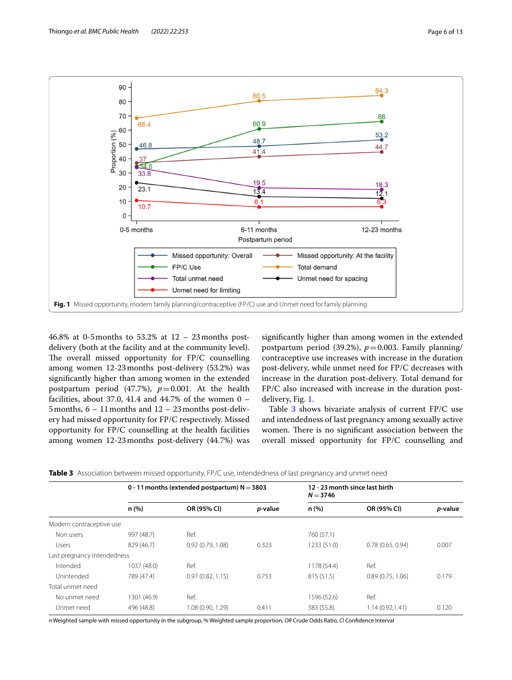

<span id="page-5-0"></span>46.8% at 0-5months to 53.2% at 12 – 23months postdelivery (both at the facility and at the community level). The overall missed opportunity for  $FP/C$  counselling among women 12-23months post-delivery (53.2%) was signifcantly higher than among women in the extended postpartum period  $(47.7%)$ ,  $p=0.001$ . At the health facilities, about 37.0, 41.4 and 44.7% of the women  $0 -$ 5months, 6 – 11months and 12 – 23months post-delivery had missed opportunity for FP/C respectively. Missed opportunity for FP/C counselling at the health facilities among women 12-23months post-delivery (44.7%) was

signifcantly higher than among women in the extended postpartum period (39.2%),  $p=0.003$ . Family planning/ contraceptive use increases with increase in the duration post-delivery, while unmet need for FP/C decreases with increase in the duration post-delivery. Total demand for FP/C also increased with increase in the duration postdelivery, Fig. [1](#page-5-0).

Table [3](#page-5-1) shows bivariate analysis of current FP/C use and intendedness of last pregnancy among sexually active women. There is no significant association between the overall missed opportunity for FP/C counselling and

<span id="page-5-1"></span>

|  |  |  |  |  |  |  | Table 3 Association between missed opportunity, FP/C use, intendedness of last pregnancy and unmet need |
|--|--|--|--|--|--|--|---------------------------------------------------------------------------------------------------------|
|--|--|--|--|--|--|--|---------------------------------------------------------------------------------------------------------|

|                             |             | 0 - 11 months (extended postpartum) $N = 3803$ |                 | 12 - 23 month since last birth<br>$N = 3746$ |                  |         |  |  |
|-----------------------------|-------------|------------------------------------------------|-----------------|----------------------------------------------|------------------|---------|--|--|
|                             | n(%)        | OR (95% CI)                                    | <i>p</i> -value | n(%)                                         | OR (95% CI)      | p-value |  |  |
| Modern contraceptive use    |             |                                                |                 |                                              |                  |         |  |  |
| Non users                   | 997 (48.7)  | Ref.                                           |                 | 760 (57.1)                                   |                  |         |  |  |
| <b>Users</b>                | 829 (46.7)  | 0.92(0.79, 1.08)                               | 0.323           | 1233 (51.0)                                  | 0.78(0.65, 0.94) | 0.007   |  |  |
| Last pregnancy intendedness |             |                                                |                 |                                              |                  |         |  |  |
| Intended                    | 1037 (48.0) | Ref.                                           |                 | 1178 (54.4)                                  | Ref.             |         |  |  |
| Unintended                  | 789 (47.4)  | 0.97(0.82, 1.15)                               | 0.753           | 815 (51.5)                                   | 0.89(0.75, 1.06) | 0.179   |  |  |
| Total unmet need            |             |                                                |                 |                                              |                  |         |  |  |
| No unmet need               | 1301 (46.9) | Ref.                                           |                 | 1596 (52.6)                                  | Ref.             |         |  |  |
| Unmet need                  | 496 (48.8)  | 1.08(0.90, 1.29)                               | 0.411           | 383 (55.8)                                   | 1.14(0.92, 1.41) | 0.120   |  |  |

*n* Weighted sample with missed opportunity in the subgroup, % Weighted sample proportion, *OR* Crude Odds Ratio, *CI* Confdence Interval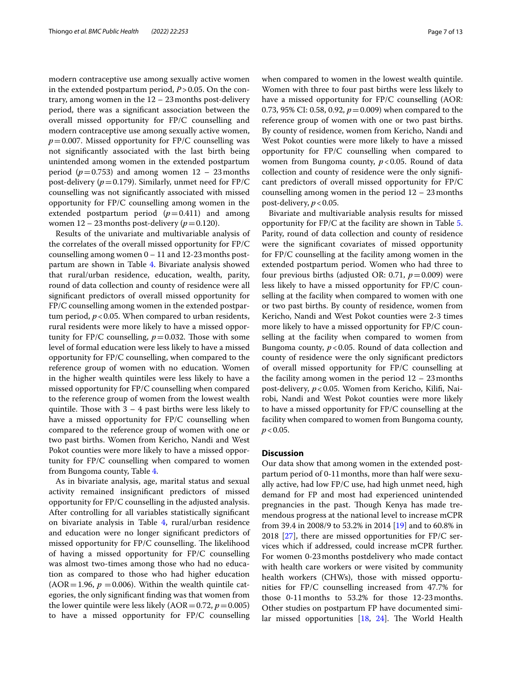modern contraceptive use among sexually active women in the extended postpartum period, *P*>0.05. On the contrary, among women in the 12 – 23months post-delivery period, there was a signifcant association between the overall missed opportunity for FP/C counselling and modern contraceptive use among sexually active women,  $p=0.007$ . Missed opportunity for FP/C counselling was not signifcantly associated with the last birth being unintended among women in the extended postpartum period ( $p=0.753$ ) and among women  $12 - 23$  months post-delivery (*p*=0.179). Similarly, unmet need for FP/C counselling was not signifcantly associated with missed opportunity for FP/C counselling among women in the extended postpartum period  $(p=0.411)$  and among women  $12 - 23$  months post-delivery ( $p = 0.120$ ).

Results of the univariate and multivariable analysis of the correlates of the overall missed opportunity for FP/C counselling among women  $0 - 11$  and  $12-23$  months postpartum are shown in Table [4.](#page-7-0) Bivariate analysis showed that rural/urban residence, education, wealth, parity, round of data collection and county of residence were all signifcant predictors of overall missed opportunity for FP/C counselling among women in the extended postpartum period, *p*<0.05. When compared to urban residents, rural residents were more likely to have a missed opportunity for FP/C counselling,  $p=0.032$ . Those with some level of formal education were less likely to have a missed opportunity for FP/C counselling, when compared to the reference group of women with no education. Women in the higher wealth quintiles were less likely to have a missed opportunity for FP/C counselling when compared to the reference group of women from the lowest wealth quintile. Those with  $3 - 4$  past births were less likely to have a missed opportunity for FP/C counselling when compared to the reference group of women with one or two past births. Women from Kericho, Nandi and West Pokot counties were more likely to have a missed opportunity for FP/C counselling when compared to women from Bungoma county, Table [4](#page-7-0).

As in bivariate analysis, age, marital status and sexual activity remained insignifcant predictors of missed opportunity for FP/C counselling in the adjusted analysis. After controlling for all variables statistically signifcant on bivariate analysis in Table [4,](#page-7-0) rural/urban residence and education were no longer signifcant predictors of missed opportunity for FP/C counselling. The likelihood of having a missed opportunity for FP/C counselling was almost two-times among those who had no education as compared to those who had higher education (AOR = 1.96,  $p = 0.006$ ). Within the wealth quintile categories, the only signifcant fnding was that women from the lower quintile were less likely  $(AOR=0.72, p=0.005)$ to have a missed opportunity for FP/C counselling when compared to women in the lowest wealth quintile. Women with three to four past births were less likely to have a missed opportunity for FP/C counselling (AOR: 0.73, 95% CI: 0.58, 0.92, *p*=0.009) when compared to the reference group of women with one or two past births. By county of residence, women from Kericho, Nandi and West Pokot counties were more likely to have a missed opportunity for FP/C counselling when compared to women from Bungoma county,  $p$  < 0.05. Round of data collection and county of residence were the only signifcant predictors of overall missed opportunity for FP/C counselling among women in the period  $12 - 23$  months post-delivery,  $p < 0.05$ .

Bivariate and multivariable analysis results for missed opportunity for FP/C at the facility are shown in Table [5](#page-9-0). Parity, round of data collection and county of residence were the signifcant covariates of missed opportunity for FP/C counselling at the facility among women in the extended postpartum period. Women who had three to four previous births (adjusted OR: 0.71,  $p=0.009$ ) were less likely to have a missed opportunity for FP/C counselling at the facility when compared to women with one or two past births. By county of residence, women from Kericho, Nandi and West Pokot counties were 2-3 times more likely to have a missed opportunity for FP/C counselling at the facility when compared to women from Bungoma county,  $p < 0.05$ . Round of data collection and county of residence were the only signifcant predictors of overall missed opportunity for FP/C counselling at the facility among women in the period  $12 - 23$  months post-delivery, *p*<0.05. Women from Kericho, Kilif, Nairobi, Nandi and West Pokot counties were more likely to have a missed opportunity for FP/C counselling at the facility when compared to women from Bungoma county, *p*<0.05.

# **Discussion**

Our data show that among women in the extended postpartum period of 0-11months, more than half were sexually active, had low FP/C use, had high unmet need, high demand for FP and most had experienced unintended pregnancies in the past. Though Kenya has made tremendous progress at the national level to increase mCPR from 39.4 in 2008/9 to 53.2% in 2014 [\[19](#page-11-15)] and to 60.8% in 2018 [\[27](#page-12-5)], there are missed opportunities for FP/C services which if addressed, could increase mCPR further. For women 0-23months postdelivery who made contact with health care workers or were visited by community health workers (CHWs), those with missed opportunities for FP/C counselling increased from 47.7% for those 0-11months to 53.2% for those 12-23months. Other studies on postpartum FP have documented similar missed opportunities  $[18, 24]$  $[18, 24]$  $[18, 24]$  $[18, 24]$  $[18, 24]$ . The World Health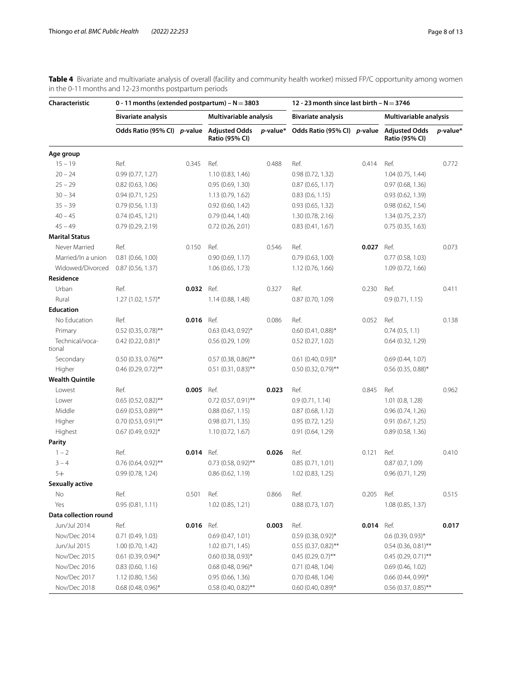<span id="page-7-0"></span>**Table 4** Bivariate and multivariate analysis of overall (facility and community health worker) missed FP/C opportunity among women in the 0-11months and 12-23months postpartum periods

| Characteristic            | 0 - 11 months (extended postpartum) – $N = 3803$ |       |                                               |          | 12 - 23 month since last birth $-N = 3746$ |       |                                               |             |
|---------------------------|--------------------------------------------------|-------|-----------------------------------------------|----------|--------------------------------------------|-------|-----------------------------------------------|-------------|
|                           | <b>Bivariate analysis</b>                        |       | Multivariable analysis                        |          | <b>Bivariate analysis</b>                  |       | Multivariable analysis                        |             |
|                           | Odds Ratio (95% CI) p-value                      |       | <b>Adjusted Odds</b><br><b>Ratio (95% CI)</b> | p-value* | Odds Ratio (95% CI) p-value                |       | <b>Adjusted Odds</b><br><b>Ratio (95% CI)</b> | $p$ -value* |
| Age group                 |                                                  |       |                                               |          |                                            |       |                                               |             |
| $15 - 19$                 | Ref.                                             | 0.345 | Ref.                                          | 0.488    | Ref.                                       | 0.414 | Ref.                                          | 0.772       |
| $20 - 24$                 | 0.99(0.77, 1.27)                                 |       | 1.10 (0.83, 1.46)                             |          | 0.98(0.72, 1.32)                           |       | 1.04(0.75, 1.44)                              |             |
| $25 - 29$                 | 0.82(0.63, 1.06)                                 |       | 0.95(0.69, 1.30)                              |          | 0.87(0.65, 1.17)                           |       | 0.97(0.68, 1.36)                              |             |
| $30 - 34$                 | 0.94(0.71, 1.25)                                 |       | 1.13(0.79, 1.62)                              |          | 0.83(0.6, 1.15)                            |       | 0.93(0.62, 1.39)                              |             |
| $35 - 39$                 | 0.79(0.56, 1.13)                                 |       | 0.92(0.60, 1.42)                              |          | 0.93(0.65, 1.32)                           |       | 0.98(0.62, 1.54)                              |             |
| $40 - 45$                 | 0.74(0.45, 1.21)                                 |       | 0.79(0.44, 1.40)                              |          | 1.30(0.78, 2.16)                           |       | 1.34 (0.75, 2.37)                             |             |
| $45 - 49$                 | 0.79(0.29, 2.19)                                 |       | 0.72(0.26, 2.01)                              |          | 0.83(0.41, 1.67)                           |       | 0.75(0.35, 1.63)                              |             |
| <b>Marital Status</b>     |                                                  |       |                                               |          |                                            |       |                                               |             |
| Never Married             | Ref.                                             | 0.150 | Ref.                                          | 0.546    | Ref.                                       | 0.027 | Ref.                                          | 0.073       |
| Married/In a union        | 0.81(0.66, 1.00)                                 |       | 0.90(0.69, 1.17)                              |          | 0.79(0.63, 1.00)                           |       | $0.77$ (0.58, 1.03)                           |             |
| Widowed/Divorced          | 0.87(0.56, 1.37)                                 |       | 1.06(0.65, 1.73)                              |          | 1.12(0.76, 1.66)                           |       | 1.09(0.72, 1.66)                              |             |
| Residence                 |                                                  |       |                                               |          |                                            |       |                                               |             |
| Urban                     | Ref.                                             | 0.032 | Ref.                                          | 0.327    | Ref.                                       | 0.230 | Ref.                                          | 0.411       |
| Rural                     | $1.27(1.02, 1.57)^*$                             |       | 1.14(0.88, 1.48)                              |          | 0.87(0.70, 1.09)                           |       | 0.9(0.71, 1.15)                               |             |
| <b>Education</b>          |                                                  |       |                                               |          |                                            |       |                                               |             |
| No Education              | Ref.                                             | 0.016 | Ref.                                          | 0.086    | Ref.                                       | 0.052 | Ref.                                          | 0.138       |
| Primary                   | $0.52$ (0.35, 0.78)**                            |       | $0.63$ (0.43, 0.92) <sup>*</sup>              |          | $0.60(0.41, 0.88)$ *                       |       | 0.74(0.5, 1.1)                                |             |
| Technical/voca-<br>tional | $0.42$ (0.22, 0.81)*                             |       | 0.56(0.29, 1.09)                              |          | 0.52(0.27, 1.02)                           |       | 0.64(0.32, 1.29)                              |             |
| Secondary                 | $0.50(0.33, 0.76)$ **                            |       | $0.57$ (0.38, 0.86)**                         |          | $0.61$ (0.40, 0.93)*                       |       | 0.69(0.44, 1.07)                              |             |
| Higher                    | $0.46$ (0.29, 0.72)**                            |       | $0.51$ (0.31, 0.83)**                         |          | $0.50(0.32, 0.79)$ **                      |       | $0.56$ (0.35, 0.88)*                          |             |
| <b>Wealth Quintile</b>    |                                                  |       |                                               |          |                                            |       |                                               |             |
| Lowest                    | Ref.                                             | 0.005 | Ref.                                          | 0.023    | Ref.                                       | 0.845 | Ref.                                          | 0.962       |
| Lower                     | $0.65$ (0.52, 0.82)**                            |       | $0.72$ (0.57, 0.91)**                         |          | 0.9(0.71, 1.14)                            |       | 1.01(0.8, 1.28)                               |             |
| Middle                    | $0.69(0.53, 0.89)$ **                            |       | 0.88(0.67, 1.15)                              |          | 0.87(0.68, 1.12)                           |       | 0.96(0.74, 1.26)                              |             |
| Higher                    | $0.70(0.53, 0.91)$ **                            |       | 0.98(0.71, 1.35)                              |          | 0.95(0.72, 1.25)                           |       | 0.91(0.67, 1.25)                              |             |
| Highest                   | $0.67$ (0.49, 0.92)*                             |       | 1.10 (0.72, 1.67)                             |          | 0.91(0.64, 1.29)                           |       | 0.89(0.58, 1.36)                              |             |
| Parity                    |                                                  |       |                                               |          |                                            |       |                                               |             |
| $1 - 2$                   | Ref.                                             | 0.014 | Ref.                                          | 0.026    | Ref.                                       | 0.121 | Ref.                                          | 0.410       |
| $3 - 4$                   | $0.76$ (0.64, 0.92)**                            |       | $0.73$ (0.58, 0.92)**                         |          | 0.85(0.71, 1.01)                           |       | 0.87(0.7, 1.09)                               |             |
| $5+$                      | 0.99(0.78, 1.24)                                 |       | 0.86(0.62, 1.19)                              |          | 1.02 (0.83, 1.25)                          |       | 0.96(0.71, 1.29)                              |             |
| <b>Sexually active</b>    |                                                  |       |                                               |          |                                            |       |                                               |             |
| No                        | Ref.                                             | 0.501 | Ref.                                          | 0.866    | Ref.                                       | 0.205 | Ref.                                          | 0.515       |
| Yes                       | 0.95(0.81, 1.11)                                 |       | 1.02(0.85, 1.21)                              |          | 0.88(0.73, 1.07)                           |       | 1.08(0.85, 1.37)                              |             |
| Data collection round     |                                                  |       |                                               |          |                                            |       |                                               |             |
| Jun/Jul 2014              | Ref.                                             | 0.016 | Ref.                                          | 0.003    | Ref.                                       | 0.014 | Ref.                                          | 0.017       |
| Nov/Dec 2014              | 0.71(0.49, 1.03)                                 |       | 0.69(0.47, 1.01)                              |          | $0.59(0.38, 0.92)$ *                       |       | $0.6$ (0.39, 0.93)*                           |             |
| Jun/Jul 2015              | 1.00(0.70, 1.42)                                 |       | 1.02(0.71, 1.45)                              |          | $0.55(0.37, 0.82)$ **                      |       | $0.54$ (0.36, 0.81)**                         |             |
| Nov/Dec 2015              | $0.61$ (0.39, 0.94)*                             |       | $0.60(0.38, 0.93)$ *                          |          | $0.45$ (0.29, 0.7)**                       |       | $0.45(0.29, 0.71)$ **                         |             |
| Nov/Dec 2016              | 0.83(0.60, 1.16)                                 |       | $0.68$ (0.48, 0.96)*                          |          | 0.71(0.48, 1.04)                           |       | 0.69(0.46, 1.02)                              |             |
| Nov/Dec 2017              | 1.12 (0.80, 1.56)                                |       | 0.95(0.66, 1.36)                              |          | 0.70(0.48, 1.04)                           |       | $0.66$ (0.44, 0.99)*                          |             |
| Nov/Dec 2018              | $0.68$ (0.48, 0.96)*                             |       | $0.58$ (0.40, 0.82)**                         |          | $0.60$ (0.40, 0.89)*                       |       | $0.56$ (0.37, 0.85)**                         |             |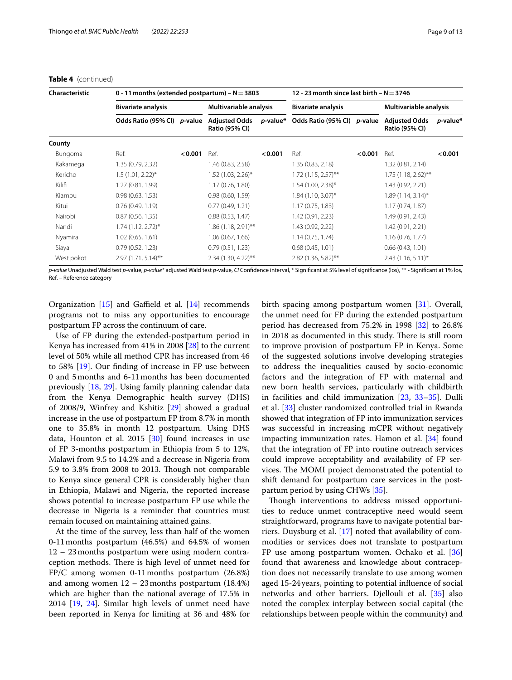## **Table 4** (continued)

| Characteristic |                           | 0 - 11 months (extended postpartum) - $N = 3803$ |                                               |                        |                                      |                           | 12 - 23 month since last birth – $N = 3746$   |                        |  |  |
|----------------|---------------------------|--------------------------------------------------|-----------------------------------------------|------------------------|--------------------------------------|---------------------------|-----------------------------------------------|------------------------|--|--|
|                | <b>Bivariate analysis</b> |                                                  |                                               | Multivariable analysis |                                      | <b>Bivariate analysis</b> |                                               | Multivariable analysis |  |  |
|                | Odds Ratio (95% CI)       | <i>p</i> -value                                  | <b>Adjusted Odds</b><br><b>Ratio (95% CI)</b> |                        | p-value* Odds Ratio (95% CI) p-value |                           | <b>Adjusted Odds</b><br><b>Ratio (95% CI)</b> | p-value*               |  |  |
| County         |                           |                                                  |                                               |                        |                                      |                           |                                               |                        |  |  |
| Bungoma        | Ref.                      | < 0.001                                          | Ref.                                          | < 0.001                | Ref.                                 | < 0.001                   | Ref.                                          | < 0.001                |  |  |
| Kakamega       | 1.35 (0.79, 2.32)         |                                                  | 1.46 (0.83, 2.58)                             |                        | 1.35(0.83, 2.18)                     |                           | 1.32(0.81, 2.14)                              |                        |  |  |
| Kericho        | $1.5(1.01, 2.22)^{*}$     |                                                  | $1.52(1.03, 2.26)$ *                          |                        | $1.72(1.15, 2.57)$ **                |                           | $1.75(1.18, 2.62)$ **                         |                        |  |  |
| Kilifi         | 1.27 (0.81, 1.99)         |                                                  | 1.17(0.76, 1.80)                              |                        | $1.54(1.00, 2.38)$ *                 |                           | 1.43 (0.92, 2.21)                             |                        |  |  |
| Kiambu         | 0.98(0.63, 1.53)          |                                                  | 0.98(0.60, 1.59)                              |                        | $1.84$ (1.10, 3.07)*                 |                           | $1.89(1.14, 3.14)^{*}$                        |                        |  |  |
| Kitui          | 0.76(0.49, 1.19)          |                                                  | 0.77(0.49, 1.21)                              |                        | 1.17(0.75, 1.83)                     |                           | 1.17(0.74, 1.87)                              |                        |  |  |
| Nairobi        | 0.87(0.56, 1.35)          |                                                  | 0.88(0.53, 1.47)                              |                        | 1.42 (0.91, 2.23)                    |                           | 1.49 (0.91, 2.43)                             |                        |  |  |
| Nandi          | $1.74(1.12, 2.72)^{*}$    |                                                  | $1.86(1.18, 2.91)$ **                         |                        | 1.43 (0.92, 2.22)                    |                           | 1.42 (0.91, 2.21)                             |                        |  |  |
| Nyamira        | 1.02(0.65, 1.61)          |                                                  | 1.06(0.67, 1.66)                              |                        | 1.14(0.75, 1.74)                     |                           | 1.16(0.76, 1.77)                              |                        |  |  |
| Siaya          | 0.79(0.52, 1.23)          |                                                  | 0.79(0.51, 1.23)                              |                        | 0.68(0.45, 1.01)                     |                           | 0.66(0.43, 1.01)                              |                        |  |  |
| West pokot     | $2.97(1.71, 5.14)$ **     |                                                  | $2.34$ (1.30, 4.22)**                         |                        | $2.82$ (1.36, 5.82)**                |                           | $2.43(1.16, 5.11)^{*}$                        |                        |  |  |

*p-value* Unadjusted Wald test *p-*value, *p-value\** adjusted Wald test *p-*value, *CI* Confdence interval, \* Signifcant at 5% level of signifcance (los), \*\* - Signifcant at 1% los, Ref. – Reference category

Organization  $[15]$  $[15]$  and Gaffield et al.  $[14]$  $[14]$  recommends programs not to miss any opportunities to encourage postpartum FP across the continuum of care.

Use of FP during the extended-postpartum period in Kenya has increased from 41% in 2008 [[28\]](#page-12-6) to the current level of 50% while all method CPR has increased from 46 to 58% [\[19\]](#page-11-15). Our fnding of increase in FP use between 0 and 5months and 6-11months has been documented previously [\[18](#page-11-12), [29\]](#page-12-7). Using family planning calendar data from the Kenya Demographic health survey (DHS) of 2008/9, Winfrey and Kshitiz [[29\]](#page-12-7) showed a gradual increase in the use of postpartum FP from 8.7% in month one to 35.8% in month 12 postpartum. Using DHS data, Hounton et al. 2015 [\[30\]](#page-12-8) found increases in use of FP 3-months postpartum in Ethiopia from 5 to 12%, Malawi from 9.5 to 14.2% and a decrease in Nigeria from 5.9 to 3.8% from 2008 to 2013. Tough not comparable to Kenya since general CPR is considerably higher than in Ethiopia, Malawi and Nigeria, the reported increase shows potential to increase postpartum FP use while the decrease in Nigeria is a reminder that countries must remain focused on maintaining attained gains.

At the time of the survey, less than half of the women 0-11months postpartum (46.5%) and 64.5% of women 12 – 23months postpartum were using modern contraception methods. There is high level of unmet need for FP/C among women 0-11months postpartum (26.8%) and among women 12 – 23months postpartum (18.4%) which are higher than the national average of 17.5% in 2014 [\[19,](#page-11-15) [24](#page-12-2)]. Similar high levels of unmet need have been reported in Kenya for limiting at 36 and 48% for birth spacing among postpartum women [[31](#page-12-9)]. Overall, the unmet need for FP during the extended postpartum period has decreased from 75.2% in 1998 [\[32](#page-12-10)] to 26.8% in 2018 as documented in this study. There is still room to improve provision of postpartum FP in Kenya. Some of the suggested solutions involve developing strategies to address the inequalities caused by socio-economic factors and the integration of FP with maternal and new born health services, particularly with childbirth in facilities and child immunization [[23,](#page-12-1) [33](#page-12-11)[–35](#page-12-12)]. Dulli et al. [\[33\]](#page-12-11) cluster randomized controlled trial in Rwanda showed that integration of FP into immunization services was successful in increasing mCPR without negatively impacting immunization rates. Hamon et al. [[34\]](#page-12-13) found that the integration of FP into routine outreach services could improve acceptability and availability of FP services. The MOMI project demonstrated the potential to shift demand for postpartum care services in the postpartum period by using CHWs [[35\]](#page-12-12).

Though interventions to address missed opportunities to reduce unmet contraceptive need would seem straightforward, programs have to navigate potential barriers. Duysburg et al. [[17](#page-11-11)] noted that availability of commodities or services does not translate to postpartum FP use among postpartum women. Ochako et al. [[36](#page-12-14)] found that awareness and knowledge about contraception does not necessarily translate to use among women aged 15-24years, pointing to potential infuence of social networks and other barriers. Djellouli et al. [\[35](#page-12-12)] also noted the complex interplay between social capital (the relationships between people within the community) and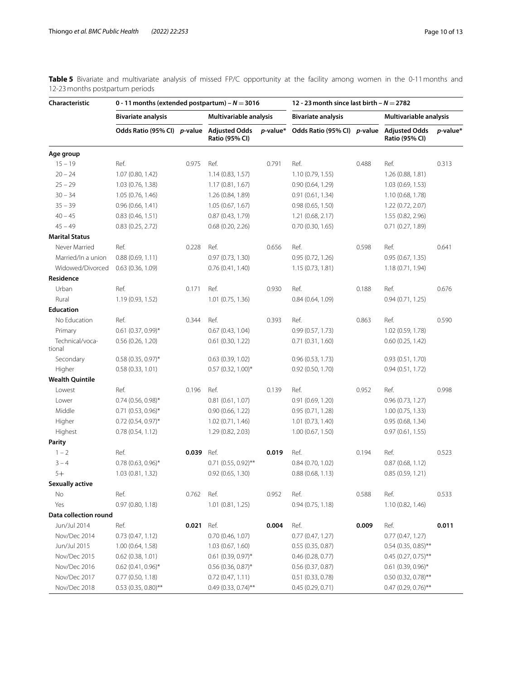<span id="page-9-0"></span>**Table 5** Bivariate and multivariate analysis of missed FP/C opportunity at the facility among women in the 0-11 months and 12-23months postpartum periods

| Characteristic            | 0 - 11 months (extended postpartum) – $N = 3016$ |       |                                               | 12 - 23 month since last birth – $N = 2782$ |                             |       |                                        |          |
|---------------------------|--------------------------------------------------|-------|-----------------------------------------------|---------------------------------------------|-----------------------------|-------|----------------------------------------|----------|
|                           | <b>Bivariate analysis</b>                        |       | Multivariable analysis                        |                                             | <b>Bivariate analysis</b>   |       | Multivariable analysis                 |          |
|                           | Odds Ratio (95% CI) p-value                      |       | <b>Adjusted Odds</b><br><b>Ratio (95% CI)</b> | p-value*                                    | Odds Ratio (95% CI) p-value |       | <b>Adjusted Odds</b><br>Ratio (95% CI) | p-value* |
| Age group                 |                                                  |       |                                               |                                             |                             |       |                                        |          |
| $15 - 19$                 | Ref.                                             | 0.975 | Ref.                                          | 0.791                                       | Ref.                        | 0.488 | Ref.                                   | 0.313    |
| $20 - 24$                 | 1.07(0.80, 1.42)                                 |       | 1.14(0.83, 1.57)                              |                                             | 1.10(0.79, 1.55)            |       | 1.26 (0.88, 1.81)                      |          |
| $25 - 29$                 | 1.03(0.76, 1.38)                                 |       | 1.17(0.81, 1.67)                              |                                             | 0.90(0.64, 1.29)            |       | 1.03(0.69, 1.53)                       |          |
| $30 - 34$                 | 1.05(0.76, 1.46)                                 |       | 1.26 (0.84, 1.89)                             |                                             | 0.91(0.61, 1.34)            |       | 1.10 (0.68, 1.78)                      |          |
| $35 - 39$                 | 0.96(0.66, 1.41)                                 |       | 1.05(0.67, 1.67)                              |                                             | 0.98(0.65, 1.50)            |       | 1.22 (0.72, 2.07)                      |          |
| $40 - 45$                 | 0.83(0.46, 1.51)                                 |       | 0.87(0.43, 1.79)                              |                                             | 1.21(0.68, 2.17)            |       | 1.55 (0.82, 2.96)                      |          |
| $45 - 49$                 | 0.83(0.25, 2.72)                                 |       | 0.68(0.20, 2.26)                              |                                             | 0.70(0.30, 1.65)            |       | 0.71(0.27, 1.89)                       |          |
| <b>Marital Status</b>     |                                                  |       |                                               |                                             |                             |       |                                        |          |
| Never Married             | Ref.                                             | 0.228 | Ref.                                          | 0.656                                       | Ref.                        | 0.598 | Ref.                                   | 0.641    |
| Married/In a union        | 0.88(0.69, 1.11)                                 |       | 0.97(0.73, 1.30)                              |                                             | 0.95(0.72, 1.26)            |       | 0.95(0.67, 1.35)                       |          |
| Widowed/Divorced          | 0.63(0.36, 1.09)                                 |       | 0.76(0.41, 1.40)                              |                                             | 1.15(0.73, 1.81)            |       | 1.18 (0.71, 1.94)                      |          |
| Residence                 |                                                  |       |                                               |                                             |                             |       |                                        |          |
| Urban                     | Ref.                                             | 0.171 | Ref.                                          | 0.930                                       | Ref.                        | 0.188 | Ref.                                   | 0.676    |
| Rural                     | 1.19(0.93, 1.52)                                 |       | 1.01 (0.75, 1.36)                             |                                             | 0.84(0.64, 1.09)            |       | 0.94(0.71, 1.25)                       |          |
| <b>Education</b>          |                                                  |       |                                               |                                             |                             |       |                                        |          |
| No Education              | Ref.                                             | 0.344 | Ref.                                          | 0.393                                       | Ref.                        | 0.863 | Ref.                                   | 0.590    |
| Primary                   | $0.61$ (0.37, 0.99)*                             |       | 0.67(0.43, 1.04)                              |                                             | 0.99(0.57, 1.73)            |       | 1.02 (0.59, 1.78)                      |          |
| Technical/voca-<br>tional | 0.56(0.26, 1.20)                                 |       | 0.61(0.30, 1.22)                              |                                             | 0.71(0.31, 1.60)            |       | 0.60(0.25, 1.42)                       |          |
| Secondary                 | $0.58(0.35, 0.97)$ *                             |       | 0.63(0.39, 1.02)                              |                                             | 0.96(0.53, 1.73)            |       | 0.93(0.51, 1.70)                       |          |
| Higher                    | 0.58(0.33, 1.01)                                 |       | $0.57$ (0.32, 1.00)*                          |                                             | $0.92$ $(0.50, 1.70)$       |       | 0.94(0.51, 1.72)                       |          |
| <b>Wealth Quintile</b>    |                                                  |       |                                               |                                             |                             |       |                                        |          |
| Lowest                    | Ref.                                             | 0.196 | Ref.                                          | 0.139                                       | Ref.                        | 0.952 | Ref.                                   | 0.998    |
| Lower                     | $0.74$ (0.56, 0.98)*                             |       | 0.81(0.61, 1.07)                              |                                             | 0.91(0.69, 1.20)            |       | 0.96(0.73, 1.27)                       |          |
| Middle                    | $0.71$ (0.53, 0.96)*                             |       | 0.90(0.66, 1.22)                              |                                             | 0.95(0.71, 1.28)            |       | 1.00(0.75, 1.33)                       |          |
| Higher                    | $0.72$ (0.54, 0.97)*                             |       | 1.02(0.71, 1.46)                              |                                             | $1.01$ $(0.73, 1.40)$       |       | 0.95(0.68, 1.34)                       |          |
| Highest                   | 0.78(0.54, 1.12)                                 |       | 1.29 (0.82, 2.03)                             |                                             | 1.00(0.67, 1.50)            |       | 0.97(0.61, 1.55)                       |          |
| Parity                    |                                                  |       |                                               |                                             |                             |       |                                        |          |
| $1 - 2$                   | Ref.                                             | 0.039 | Ref.                                          | 0.019                                       | Ref.                        | 0.194 | Ref.                                   | 0.523    |
| $3 - 4$                   | $0.78$ (0.63, 0.96)*                             |       | $0.71$ (0.55, 0.92)**                         |                                             | 0.84(0.70, 1.02)            |       | 0.87(0.68, 1.12)                       |          |
| $5+$                      | 1.03(0.81, 1.32)                                 |       | 0.92(0.65, 1.30)                              |                                             | 0.88(0.68, 1.13)            |       | 0.85(0.59, 1.21)                       |          |
| <b>Sexually active</b>    |                                                  |       |                                               |                                             |                             |       |                                        |          |
| No                        | Ref.                                             | 0.762 | Ref.                                          | 0.952                                       | Ref.                        | 0.588 | Ref.                                   | 0.533    |
| Yes                       | 0.97(0.80, 1.18)                                 |       | 1.01(0.81, 1.25)                              |                                             | 0.94(0.75, 1.18)            |       | 1.10(0.82, 1.46)                       |          |
| Data collection round     |                                                  |       |                                               |                                             |                             |       |                                        |          |
| Jun/Jul 2014              | Ref.                                             | 0.021 | Ref.                                          | 0.004                                       | Ref.                        | 0.009 | Ref.                                   | 0.011    |
| Nov/Dec 2014              | 0.73(0.47, 1.12)                                 |       | 0.70(0.46, 1.07)                              |                                             | 0.77(0.47, 1.27)            |       | 0.77(0.47, 1.27)                       |          |
| Jun/Jul 2015              | 1.00(0.64, 1.58)                                 |       | 1.03(0.67, 1.60)                              |                                             | 0.55(0.35, 0.87)            |       | $0.54$ (0.35, 0.85)**                  |          |
| Nov/Dec 2015              | 0.62(0.38, 1.01)                                 |       | $0.61$ (0.39, 0.97)*                          |                                             | 0.46(0.28, 0.77)            |       | $0.45$ (0.27, 0.75)**                  |          |
| Nov/Dec 2016              | $0.62$ (0.41, 0.96)*                             |       | $0.56$ (0.36, 0.87)*                          |                                             | 0.56(0.37, 0.87)            |       | $0.61$ (0.39, 0.96)*                   |          |
| Nov/Dec 2017              | 0.77(0.50, 1.18)                                 |       | 0.72(0.47, 1.11)                              |                                             | 0.51(0.33, 0.78)            |       | 0.50 (0.32, 0.78)**                    |          |
| Nov/Dec 2018              | $0.53$ (0.35, 0.80)**                            |       | 0.49 (0.33, 0.74)**                           |                                             | 0.45(0.29, 0.71)            |       | 0.47 (0.29, 0.76)**                    |          |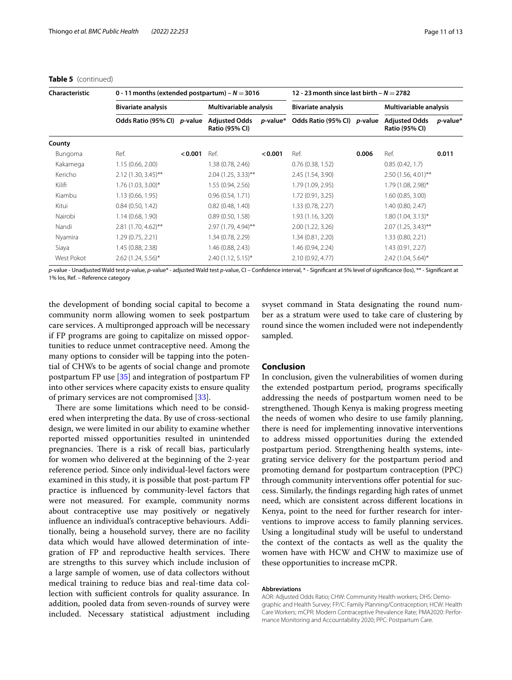## **Table 5** (continued)

| <b>Characteristic</b> | 0 - 11 months (extended postpartum) – $N = 3016$ |                 |                                               | 12 - 23 month since last birth – $N = 2782$ |                                      |                           |                                               |                        |
|-----------------------|--------------------------------------------------|-----------------|-----------------------------------------------|---------------------------------------------|--------------------------------------|---------------------------|-----------------------------------------------|------------------------|
|                       | <b>Bivariate analysis</b>                        |                 |                                               | Multivariable analysis                      |                                      | <b>Bivariate analysis</b> |                                               | Multivariable analysis |
|                       | Odds Ratio (95% CI)                              | <i>p</i> -value | <b>Adjusted Odds</b><br><b>Ratio (95% CI)</b> |                                             | p-value* Odds Ratio (95% CI) p-value |                           | <b>Adjusted Odds</b><br><b>Ratio (95% CI)</b> | <i>p</i> -value*       |
| County                |                                                  |                 |                                               |                                             |                                      |                           |                                               |                        |
| Bungoma               | Ref.                                             | < 0.001         | Ref.                                          | < 0.001                                     | Ref.                                 | 0.006                     | Ref.                                          | 0.011                  |
| Kakamega              | 1.15(0.66, 2.00)                                 |                 | 1.38 (0.78, 2.46)                             |                                             | 0.76(0.38, 1.52)                     |                           | 0.85(0.42, 1.7)                               |                        |
| Kericho               | $2.12(1.30, 3.45)$ **                            |                 | $2.04$ (1.25, 3.33)**                         |                                             | 2.45 (1.54, 3.90)                    |                           | $2.50(1.56, 4.01)$ **                         |                        |
| Kilifi                | $1.76(1.03, 3.00)$ *                             |                 | 1.55 (0.94, 2.56)                             |                                             | 1.79 (1.09, 2.95)                    |                           | 1.79 (1.08, 2.98)*                            |                        |
| Kiambu                | 1.13(0.66, 1.95)                                 |                 | 0.96(0.54, 1.71)                              |                                             | 1.72 (0.91, 3.25)                    |                           | 1.60(0.85, 3.00)                              |                        |
| Kitui                 | 0.84(0.50, 1.42)                                 |                 | 0.82(0.48, 1.40)                              |                                             | 1.33 (0.78, 2.27)                    |                           | 1.40 (0.80, 2.47)                             |                        |
| Nairobi               | 1.14(0.68, 1.90)                                 |                 | 0.89(0.50, 1.58)                              |                                             | 1.93 (1.16, 3.20)                    |                           | $1.80(1.04, 3.13)^{*}$                        |                        |
| Nandi                 | $2.81(1.70, 4.62)$ **                            |                 | 2.97 (1.79, 4.94)**                           |                                             | 2.00 (1.22, 3.26)                    |                           | $2.07(1.25, 3.43)$ **                         |                        |
| Nyamira               | 1.29 (0.75, 2.21)                                |                 | 1.34 (0.78, 2.29)                             |                                             | 1.34 (0.81, 2.20)                    |                           | 1.33 (0.80, 2.21)                             |                        |
| Siaya                 | 1.45 (0.88, 2.38)                                |                 | 1.46 (0.88, 2.43)                             |                                             | 1.46 (0.94, 2.24)                    |                           | 1.43 (0.91, 2.27)                             |                        |
| West Pokot            | $2.62$ (1.24, 5.56)*                             |                 | $2.40(1.12, 5.15)^*$                          |                                             | 2.10 (0.92, 4.77)                    |                           | $2.42$ (1.04, 5.64)*                          |                        |

*p-*value - Unadjusted Wald test *p-*value, *p-*value\* - adjusted Wald test *p-*value, CI – Confdence interval, \* - Signifcant at 5% level of signifcance (los), \*\* - Signifcant at 1% los, Ref. – Reference category

the development of bonding social capital to become a community norm allowing women to seek postpartum care services. A multipronged approach will be necessary if FP programs are going to capitalize on missed opportunities to reduce unmet contraceptive need. Among the many options to consider will be tapping into the potential of CHWs to be agents of social change and promote postpartum FP use [\[35\]](#page-12-12) and integration of postpartum FP into other services where capacity exists to ensure quality of primary services are not compromised [[33\]](#page-12-11).

There are some limitations which need to be considered when interpreting the data. By use of cross-sectional design, we were limited in our ability to examine whether reported missed opportunities resulted in unintended pregnancies. There is a risk of recall bias, particularly for women who delivered at the beginning of the 2-year reference period. Since only individual-level factors were examined in this study, it is possible that post-partum FP practice is infuenced by community-level factors that were not measured. For example, community norms about contraceptive use may positively or negatively infuence an individual's contraceptive behaviours. Additionally, being a household survey, there are no facility data which would have allowed determination of integration of FP and reproductive health services. There are strengths to this survey which include inclusion of a large sample of women, use of data collectors without medical training to reduce bias and real-time data collection with sufficient controls for quality assurance. In addition, pooled data from seven-rounds of survey were included. Necessary statistical adjustment including

svyset command in Stata designating the round number as a stratum were used to take care of clustering by round since the women included were not independently sampled.

# **Conclusion**

In conclusion, given the vulnerabilities of women during the extended postpartum period, programs specifcally addressing the needs of postpartum women need to be strengthened. Though Kenya is making progress meeting the needs of women who desire to use family planning, there is need for implementing innovative interventions to address missed opportunities during the extended postpartum period. Strengthening health systems, integrating service delivery for the postpartum period and promoting demand for postpartum contraception (PPC) through community interventions offer potential for success. Similarly, the fndings regarding high rates of unmet need, which are consistent across diferent locations in Kenya, point to the need for further research for interventions to improve access to family planning services. Using a longitudinal study will be useful to understand the context of the contacts as well as the quality the women have with HCW and CHW to maximize use of these opportunities to increase mCPR.

#### **Abbreviations**

AOR: Adjusted Odds Ratio; CHW: Community Health workers; DHS: Demographic and Health Survey; FP/C: Family Planning/Contraception; HCW: Health Care Workers; mCPR: Modern Contraceptive Prevalence Rate; PMA2020: Performance Monitoring and Accountability 2020; PPC: Postpartum Care.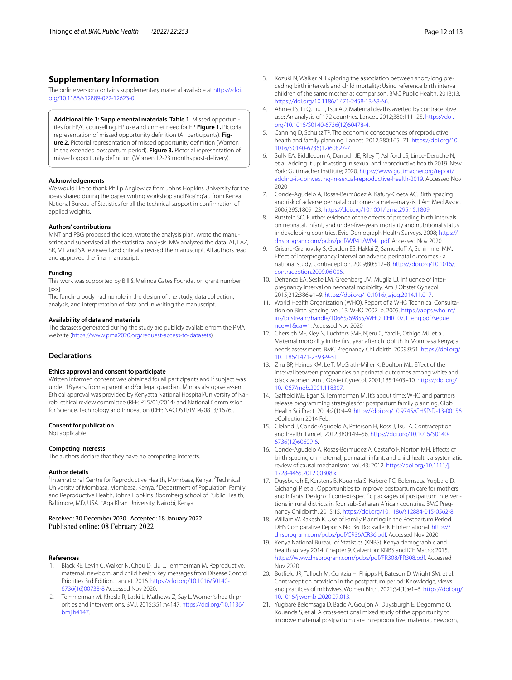# **Supplementary Information**

The online version contains supplementary material available at [https://doi.](https://doi.org/10.1186/s12889-022-12623-0) [org/10.1186/s12889-022-12623-0](https://doi.org/10.1186/s12889-022-12623-0).

<span id="page-11-18"></span>**Additional fle 1: Supplemental materials. Table 1.** Missed opportunities for FP/C counselling, FP use and unmet need for FP. **Figure 1.** Pictorial representation of missed opportunity defnition (All participants). **Figure 2.** Pictorial representation of missed opportunity defnition (Women in the extended postpartum period). **Figure 3.** Pictorial representation of missed opportunity defnition (Women 12-23 months post-delivery).

#### **Acknowledgements**

We would like to thank Philip Anglewicz from Johns Hopkins University for the ideas shared during the paper writing workshop and Nga'ng'a J from Kenya National Bureau of Statistics for all the technical support in confrmation of applied weights.

#### **Authors' contributions**

MNT and PBG proposed the idea, wrote the analysis plan, wrote the manuscript and supervised all the statistical analysis. MW analyzed the data. AT, LAZ, SR, MT and SA reviewed and critically revised the manuscript. All authors read and approved the fnal manuscript.

#### **Funding**

This work was supported by Bill & Melinda Gates Foundation grant number [xxx].

The funding body had no role in the design of the study, data collection, analysis, and interpretation of data and in writing the manuscript.

#### **Availability of data and materials**

The datasets generated during the study are publicly available from the PMA website ([https://www.pma2020.org/request-access-to-datasets\)](https://www.pma2020.org/request-access-to-datasets).

# **Declarations**

#### **Ethics approval and consent to participate**

Written informed consent was obtained for all participants and if subject was under 18 years, from a parent and/or legal guardian. Minors also gave assent. Ethical approval was provided by Kenyatta National Hospital/University of Nairobi ethical review committee (REF: P15/01/2014) and National Commission for Science, Technology and Innovation (REF: NACOSTI/P/14/0813/1676).

#### **Consent for publication**

Not applicable.

#### **Competing interests**

The authors declare that they have no competing interests.

#### **Author details**

<sup>1</sup> International Centre for Reproductive Health, Mombasa, Kenya. <sup>2</sup>Technical University of Mombasa, Mombasa, Kenya. <sup>3</sup> Department of Population, Family and Reproductive Health, Johns Hopkins Bloomberg school of Public Health, Baltimore, MD, USA. <sup>4</sup>Aga Khan University, Nairobi, Kenya.

#### Received: 30 December 2020 Accepted: 18 January 2022 Published online: 08 February 2022

#### **References**

- <span id="page-11-0"></span>1. Black RE, Levin C, Walker N, Chou D, Liu L, Temmerman M. Reproductive, maternal, newborn, and child health: key messages from Disease Control Priorities 3rd Edition. Lancet. 2016. [https://doi.org/10.1016/S0140-](https://doi.org/10.1016/S0140-6736(16)00738-8) [6736\(16\)00738-8](https://doi.org/10.1016/S0140-6736(16)00738-8) Accessed Nov 2020.
- <span id="page-11-1"></span>2. Temmerman M, Khosla R, Laski L, Mathews Z, Say L. Women's health priorities and interventions. BMJ. 2015;351:h4147. [https://doi.org/10.1136/](https://doi.org/10.1136/bmj.h4147) [bmj.h4147](https://doi.org/10.1136/bmj.h4147).
- <span id="page-11-2"></span>3. Kozuki N, Walker N. Exploring the association between short/long preceding birth intervals and child mortality: Using reference birth interval children of the same mother as comparison. BMC Public Health. 2013;13. <https://doi.org/10.1186/1471-2458-13-S3-S6>.
- <span id="page-11-3"></span>4. Ahmed S, Li Q, Liu L, Tsui AO. Maternal deaths averted by contraceptive use: An analysis of 172 countries. Lancet. 2012;380:111–25. [https://doi.](https://doi.org/10.1016/S0140-6736(12)60478-4) [org/10.1016/S0140-6736\(12\)60478-4.](https://doi.org/10.1016/S0140-6736(12)60478-4)
- 5. Canning D, Schultz TP. The economic consequences of reproductive health and family planning. Lancet. 2012;380:165–71. [https://doi.org/10.](https://doi.org/10.1016/S0140-6736(12)60827-7) [1016/S0140-6736\(12\)60827-7](https://doi.org/10.1016/S0140-6736(12)60827-7).
- <span id="page-11-4"></span>6. Sully EA, Biddlecom A, Darroch JE, Riley T, Ashford LS, Lince-Deroche N, et al. Adding it up: investing in sexual and reproductive health 2019. New York: Guttmacher Institute; 2020. [https://www.guttmacher.org/report/](https://www.guttmacher.org/report/adding-it-upinvesting-in-sexual-reproductive-health-2019) [adding-it-upinvesting-in-sexual-reproductive-health-2019](https://www.guttmacher.org/report/adding-it-upinvesting-in-sexual-reproductive-health-2019). Accessed Nov 2020
- <span id="page-11-5"></span>7. Conde-Agudelo A, Rosas-Bermúdez A, Kafury-Goeta AC. Birth spacing and risk of adverse perinatal outcomes: a meta-analysis. J Am Med Assoc. 2006;295:1809–23. [https://doi.org/10.1001/jama.295.15.1809.](https://doi.org/10.1001/jama.295.15.1809)
- <span id="page-11-6"></span>8. Rutstein SO. Further evidence of the effects of preceding birth intervals on neonatal, infant, and under-fve-years mortality and nutritional status in developing countries. Evid Demograph Health Surveys. 2008; [https://](https://dhsprogram.com/pubs/pdf/WP41/WP41.pdf) [dhsprogram.com/pubs/pdf/WP41/WP41.pdf.](https://dhsprogram.com/pubs/pdf/WP41/WP41.pdf) Accessed Nov 2020.
- <span id="page-11-7"></span>9. Grisaru-Granovsky S, Gordon ES, Haklai Z, Samueloff A, Schimmel MM. Efect of interpregnancy interval on adverse perinatal outcomes - a national study. Contraception. 2009;80:512–8. [https://doi.org/10.1016/j.](https://doi.org/10.1016/j.contraception.2009.06.006) [contraception.2009.06.006.](https://doi.org/10.1016/j.contraception.2009.06.006)
- <span id="page-11-8"></span>10. Defranco EA, Seske LM, Greenberg JM, Muglia LJ. Infuence of interpregnancy interval on neonatal morbidity. Am J Obstet Gynecol. 2015;212:386.e1–9. <https://doi.org/10.1016/j.ajog.2014.11.017>.
- 11. World Health Organization (WHO). Report of a WHO Technical Consultation on Birth Spacing. vol. 13: WHO 2007. p. 2005. [https://apps.who.int/](https://apps.who.int/iris/bitstream/handle/10665/69855/WHO_RHR_07.1_eng.pdf?sequence=1&ua=1) [iris/bitstream/handle/10665/69855/WHO\\_RHR\\_07.1\\_eng.pdf?seque](https://apps.who.int/iris/bitstream/handle/10665/69855/WHO_RHR_07.1_eng.pdf?sequence=1&ua=1) nce=1&ua=1. Accessed Nov 2020
- <span id="page-11-13"></span>12. [Chersich MF, K](https://apps.who.int/iris/bitstream/handle/10665/69855/WHO_RHR_07.1_eng.pdf?sequence=1&ua=1)ley N, Luchters SMF, Njeru C, Yard E, Othigo MJ, et al. Maternal morbidity in the frst year after childbirth in Mombasa Kenya; a needs assessment. BMC Pregnancy Childbirth. 2009;9:51. [https://doi.org/](https://doi.org/10.1186/1471-2393-9-51) [10.1186/1471-2393-9-51.](https://doi.org/10.1186/1471-2393-9-51)
- <span id="page-11-9"></span>13. Zhu BP, Haines KM, Le T, McGrath-Miller K, Boulton ML. Efect of the interval between pregnancies on perinatal outcomes among white and black women. Am J Obstet Gynecol. 2001;185:1403–10. [https://doi.org/](https://doi.org/10.1067/mob.2001.118307) [10.1067/mob.2001.118307.](https://doi.org/10.1067/mob.2001.118307)
- <span id="page-11-10"></span>14. Gaffield ME, Egan S, Temmerman M. It's about time: WHO and partners release programming strategies for postpartum family planning. Glob Health Sci Pract. 2014;2(1):4–9. <https://doi.org/10.9745/GHSP-D-13-00156> eCollection 2014 Feb.
- <span id="page-11-14"></span>15. Cleland J, Conde-Agudelo A, Peterson H, Ross J, Tsui A. Contraception and health. Lancet. 2012;380:149–56. [https://doi.org/10.1016/S0140-](https://doi.org/10.1016/S0140-6736(12)60609-6) [6736\(12\)60609-6.](https://doi.org/10.1016/S0140-6736(12)60609-6)
- 16. Conde-Agudelo A, Rosas-Bermudez A, Castaño F, Norton MH. Efects of birth spacing on maternal, perinatal, infant, and child health: a systematic review of causal mechanisms. vol. 43; 2012. [https://doi.org/10.1111/j.](https://doi.org/10.1111/j.1728-4465.2012.00308.x) [1728-4465.2012.00308.x](https://doi.org/10.1111/j.1728-4465.2012.00308.x).
- <span id="page-11-11"></span>17. Duysburgh E, Kerstens B, Kouanda S, Kaboré PC, Belemsaga Yugbare D, Gichangi P, et al. Opportunities to improve postpartum care for mothers and infants: Design of context-specifc packages of postpartum interventions in rural districts in four sub-Saharan African countries. BMC Pregnancy Childbirth. 2015;15. [https://doi.org/10.1186/s12884-015-0562-8.](https://doi.org/10.1186/s12884-015-0562-8)
- <span id="page-11-12"></span>18. William W, Rakesh K. Use of Family Planning in the Postpartum Period. DHS Comparative Reports No. 36. Rockville: ICF International. [https://](https://dhsprogram.com/pubs/pdf/CR36/CR36.pdf) [dhsprogram.com/pubs/pdf/CR36/CR36.pdf](https://dhsprogram.com/pubs/pdf/CR36/CR36.pdf). Accessed Nov 2020
- <span id="page-11-15"></span>19. Kenya National Bureau of Statistics (KNBS). Kenya demographic and health survey 2014. Chapter 9. Calverton: KNBS and ICF Macro; 2015. [https://www.dhsprogram.com/pubs/pdf/FR308/FR308.pdf.](https://www.dhsprogram.com/pubs/pdf/FR308/FR308.pdf) Accessed Nov 2020
- <span id="page-11-16"></span>20. Botfeld JR, Tulloch M, Contziu H, Phipps H, Bateson D, Wright SM, et al. Contraception provision in the postpartum period: Knowledge, views and practices of midwives. Women Birth. 2021;34(1):e1–6. [https://doi.org/](https://doi.org/10.1016/j.wombi.2020.07.013) [10.1016/j.wombi.2020.07.013.](https://doi.org/10.1016/j.wombi.2020.07.013)
- <span id="page-11-17"></span>21. Yugbaré Belemsaga D, Bado A, Goujon A, Duysburgh E, Degomme O, Kouanda S, et al. A cross-sectional mixed study of the opportunity to improve maternal postpartum care in reproductive, maternal, newborn,